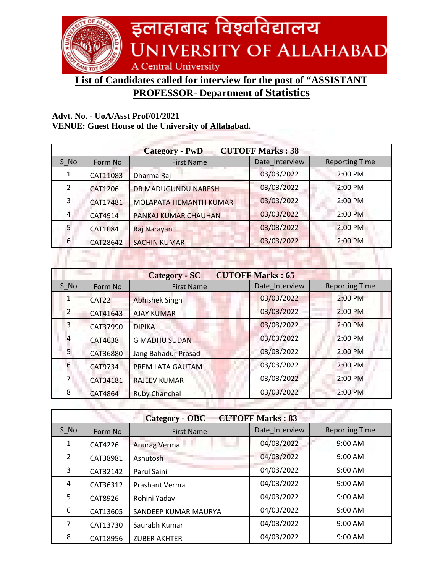

**List of Candidates called for interview for the post of "ASSISTANT** 

## **PROFESSOR- Department of Statistics**

## **Advt. No. - UoA/Asst Prof/01/2021**

**VENUE: Guest House of the University of Allahabad.**

| <b>CUTOFF Marks: 38</b><br><b>Category - PwD</b> |                        |                |                       |
|--------------------------------------------------|------------------------|----------------|-----------------------|
| Form No                                          | <b>First Name</b>      | Date Interview | <b>Reporting Time</b> |
| CAT11083                                         | Dharma Raj             | 03/03/2022     | 2:00 PM               |
| CAT1206                                          | DR MADUGUNDU NARESH    | 03/03/2022     | 2:00 PM               |
| CAT17481                                         | MOLAPATA HEMANTH KUMAR | 03/03/2022     | 2:00 PM               |
| CAT4914                                          | PANKAJ KUMAR CHAUHAN   | 03/03/2022     | 2:00 PM               |
| CAT1084                                          | Raj Narayan            | 03/03/2022     | 2:00 PM               |
| CAT28642                                         | <b>SACHIN KUMAR</b>    | 03/03/2022     | 2:00 PM               |
|                                                  |                        |                |                       |
|                                                  |                        |                |                       |

| <b>CUTOFF Marks: 65</b><br><b>Category - SC</b> |                |                            |                |                       |
|-------------------------------------------------|----------------|----------------------------|----------------|-----------------------|
| S No                                            | Form No        | <b>First Name</b>          | Date Interview | <b>Reporting Time</b> |
| 1                                               | CAT22          | <b>Abhishek Singh</b>      | 03/03/2022     | 2:00 PM               |
| $\overline{2}$                                  | CAT41643       | <b>AJAY KUMAR</b>          | 03/03/2022     | 2:00 PM               |
| 3                                               | CAT37990       | <b>DIPIKA</b>              | 03/03/2022     | 2:00 PM               |
| 4                                               | CAT4638        | <b>G MADHU SUDAN</b>       | 03/03/2022     | 2:00 PM               |
| 5                                               | CAT36880       | <b>Jang Bahadur Prasad</b> | 03/03/2022     | 2:00 PM               |
| 6                                               | CAT9734        | PREM LATA GAUTAM           | 03/03/2022     | 2:00 PM               |
| $7^{\circ}$                                     | CAT34181       | <b>RAJEEV KUMAR</b>        | 03/03/2022     | 2:00 PM               |
| 8                                               | <b>CAT4864</b> | <b>Ruby Chanchal</b>       | 03/03/2022     | 2:00 PM               |
|                                                 |                |                            |                |                       |

| <b>CUTOFF Marks: 83</b><br><b>Category - OBC</b> |          |                      |                |                       |
|--------------------------------------------------|----------|----------------------|----------------|-----------------------|
| $S$ No                                           | Form No  | <b>First Name</b>    | Date Interview | <b>Reporting Time</b> |
| 1                                                | CAT4226  | <b>Anurag Verma</b>  | 04/03/2022     | 9:00 AM               |
| 2                                                | CAT38981 | Ashutosh             | 04/03/2022     | $9:00$ AM             |
| 3                                                | CAT32142 | Parul Saini          | 04/03/2022     | $9:00$ AM             |
| 4                                                | CAT36312 | Prashant Verma       | 04/03/2022     | $9:00$ AM             |
| 5                                                | CAT8926  | Rohini Yadav         | 04/03/2022     | 9:00 AM               |
| 6                                                | CAT13605 | SANDEEP KUMAR MAURYA | 04/03/2022     | $9:00$ AM             |
| 7                                                | CAT13730 | Saurabh Kumar        | 04/03/2022     | 9:00 AM               |
| 8                                                | CAT18956 | <b>ZUBER AKHTER</b>  | 04/03/2022     | 9:00 AM               |